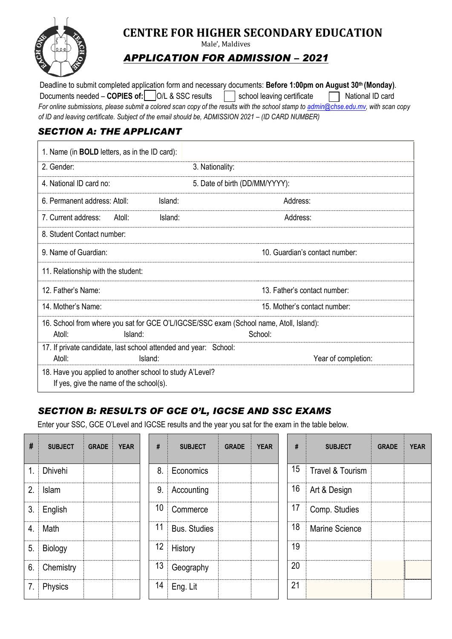

# **CENTRE FOR HIGHER SECONDARY EDUCATION**

Male', Maldives

## *APPLICATION FOR ADMISSION – 2021*

*For online submissions, please submit a colored scan copy of the results with the school stamp to [admin@chse.edu.mv,](mailto:admin@chse.edu.mv) with scan copy of ID and leaving certificate. Subject of the email should be, ADMISSION 2021 - (ID CARD NUMBER)* Deadline to submit completed application form and necessary documents: **Before 1:00pm on August 30th (Monday)**. Documents needed – **COPIES of:**  $|O/L & SSC \text{ results}$  school leaving certificate  $\Box$  National ID card

### *SECTION A: THE APPLICANT*

| 1. Name (in <b>BOLD</b> letters, as in the ID card):                                                        |                                |
|-------------------------------------------------------------------------------------------------------------|--------------------------------|
| 2. Gender:                                                                                                  | 3. Nationality:                |
| 4. National ID card no:                                                                                     | 5. Date of birth (DD/MM/YYYY): |
| 6. Permanent address: Atoll:<br>Island:                                                                     | Address:                       |
| 7. Current address:<br>Atoll:<br>Island:                                                                    | Address:                       |
| 8. Student Contact number:                                                                                  |                                |
| 9. Name of Guardian:                                                                                        | 10. Guardian's contact number: |
| 11. Relationship with the student:                                                                          |                                |
| 12. Father's Name:                                                                                          | 13. Father's contact number:   |
| 14. Mother's Name:                                                                                          | 15. Mother's contact number:   |
| 16. School from where you sat for GCE O'L/IGCSE/SSC exam (School name, Atoll, Island):<br>Atoll:<br>Island: | School:                        |
| 17. If private candidate, last school attended and year: School:<br>Atoll:<br>Island:                       | Year of completion:            |
| 18. Have you applied to another school to study A'Level?<br>If yes, give the name of the school(s).         |                                |

### *SECTION B: RESULTS OF GCE O'L, IGCSE AND SSC EXAMS*

Enter your SSC, GCE O'Level and IGCSE results and the year you sat for the exam in the table below.

| #  | <b>SUBJECT</b> | <b>GRADE</b> | <b>YEAR</b> | #  | <b>SUBJECT</b>      | <b>GRADE</b> | <b>YEAR</b> | #  | <b>SUBJECT</b>   | <b>GRADE</b> | <b>YEAR</b> |
|----|----------------|--------------|-------------|----|---------------------|--------------|-------------|----|------------------|--------------|-------------|
| 1. | <b>Dhivehi</b> |              |             | 8. | Economics           |              |             | 15 | Travel & Tourism |              |             |
| 2. | Islam          |              |             | 9. | Accounting          |              |             | 16 | Art & Design     |              |             |
| 3. | English        |              |             | 10 | Commerce            |              |             | 17 | Comp. Studies    |              |             |
| 4. | Math           |              |             | 11 | <b>Bus. Studies</b> |              |             | 18 | Marine Science   |              |             |
| 5. | Biology        |              |             | 12 | History             |              |             | 19 |                  |              |             |
| 6. | Chemistry      |              |             | 13 | Geography           |              |             | 20 |                  |              |             |
| 7. | Physics        |              |             | 14 | Eng. Lit            |              |             | 21 |                  |              |             |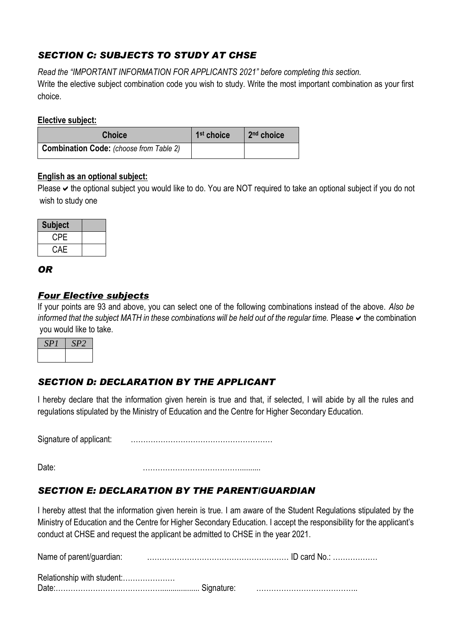### *SECTION C: SUBJECTS TO STUDY AT CHSE*

*Read the "IMPORTANT INFORMATION FOR APPLICANTS 2021" before completing this section.* Write the elective subject combination code you wish to study. Write the most important combination as your first

### **Elective subject:**

choice.

| <b>Choice</b>                                  | 1 <sup>st</sup> choice | 2 <sup>nd</sup> choice |
|------------------------------------------------|------------------------|------------------------|
| <b>Combination Code:</b> (choose from Table 2) |                        |                        |

### **English as an optional subject:**

Please  $\blacktriangleright$  the optional subject you would like to do. You are NOT required to take an optional subject if you do not wish to study one

| <b>Subject</b> |  |
|----------------|--|
| <b>CPE</b>     |  |
| CAE            |  |

### *OR*

### *Four Elective subjects*

If your points are 93 and above, you can select one of the following combinations instead of the above. *Also be informed that the subject MATH in these combinations will be held out of the regular time.* Please  $\vee$  the combination you would like to take.

| ν<br>۰. | $\mathcal{L}_{\mathcal{L}}$ |
|---------|-----------------------------|
|         |                             |

### *SECTION D: DECLARATION BY THE APPLICANT*

I hereby declare that the information given herein is true and that, if selected, I will abide by all the rules and regulations stipulated by the Ministry of Education and the Centre for Higher Secondary Education.

Signature of applicant: …………………………………………………

Date: …………………………………..........

### *SECTION E: DECLARATION BY THE PARENT/GUARDIAN*

I hereby attest that the information given herein is true. I am aware of the Student Regulations stipulated by the Ministry of Education and the Centre for Higher Secondary Education. I accept the responsibility for the applicant's conduct at CHSE and request the applicant be admitted to CHSE in the year 2021.

Name of parent/guardian: ………………………………………………… ID card No.: ……………… Relationship with student:………………… Date:……………………………………................... Signature: …………………………………..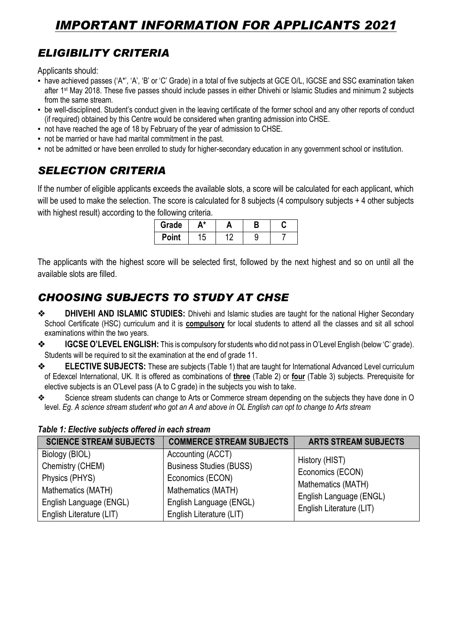# *IMPORTANT INFORMATION FOR APPLICANTS 2021*

# *ELIGIBILITY CRITERIA*

Applicants should:

- have achieved passes ('A\*', 'A', 'B' or 'C' Grade) in a total of five subjects at GCE O/L, IGCSE and SSC examination taken after 1st May 2018. These five passes should include passes in either Dhivehi or Islamic Studies and minimum 2 subjects from the same stream.
- be well-disciplined. Student's conduct given in the leaving certificate of the former school and any other reports of conduct (if required) obtained by this Centre would be considered when granting admission into CHSE.
- not have reached the age of 18 by February of the year of admission to CHSE.
- not be married or have had marital commitment in the past.
- not be admitted or have been enrolled to study for higher-secondary education in any government school or institution.

# *SELECTION CRITERIA*

If the number of eligible applicants exceeds the available slots, a score will be calculated for each applicant, which will be used to make the selection. The score is calculated for 8 subjects (4 compulsory subjects + 4 other subjects with highest result) according to the following criteria.

| Grade | * | ۳<br>Б |  |
|-------|---|--------|--|
| Point | N |        |  |

The applicants with the highest score will be selected first, followed by the next highest and so on until all the available slots are filled.

# *CHOOSING SUBJECTS TO STUDY AT CHSE*

- ❖ **DHIVEHI AND ISLAMIC STUDIES:** Dhivehi and Islamic studies are taught for the national Higher Secondary School Certificate (HSC) curriculum and it is **compulsory** for local students to attend all the classes and sit all school examinations within the two years.
- ❖ **IGCSE O'LEVEL ENGLISH:** This is compulsory for students who did not pass in O'Level English (below 'C' grade). Students will be required to sit the examination at the end of grade 11.
- ❖ **ELECTIVE SUBJECTS:** These are subjects (Table 1) that are taught for International Advanced Level curriculum of Edexcel International, UK. It is offered as combinations of **three** (Table 2) or **four** (Table 3) subjects. Prerequisite for elective subjects is an O'Level pass (A to C grade) in the subjects you wish to take.
- ❖ Science stream students can change to Arts or Commerce stream depending on the subjects they have done in O level. *Eg*. *A science stream student who got an A and above in OL English can opt to change to Arts stream*

| <b>SCIENCE STREAM SUBJECTS</b> | <b>COMMERCE STREAM SUBJECTS</b> | <b>ARTS STREAM SUBJECTS</b> |
|--------------------------------|---------------------------------|-----------------------------|
| Biology (BIOL)                 | Accounting (ACCT)               | History (HIST)              |
| Chemistry (CHEM)               | <b>Business Studies (BUSS)</b>  | Economics (ECON)            |
| Physics (PHYS)                 | Economics (ECON)                | Mathematics (MATH)          |
| Mathematics (MATH)             | Mathematics (MATH)              | English Language (ENGL)     |
| English Language (ENGL)        | English Language (ENGL)         | English Literature (LIT)    |
| English Literature (LIT)       | English Literature (LIT)        |                             |

#### *Table 1: Elective subjects offered in each stream*